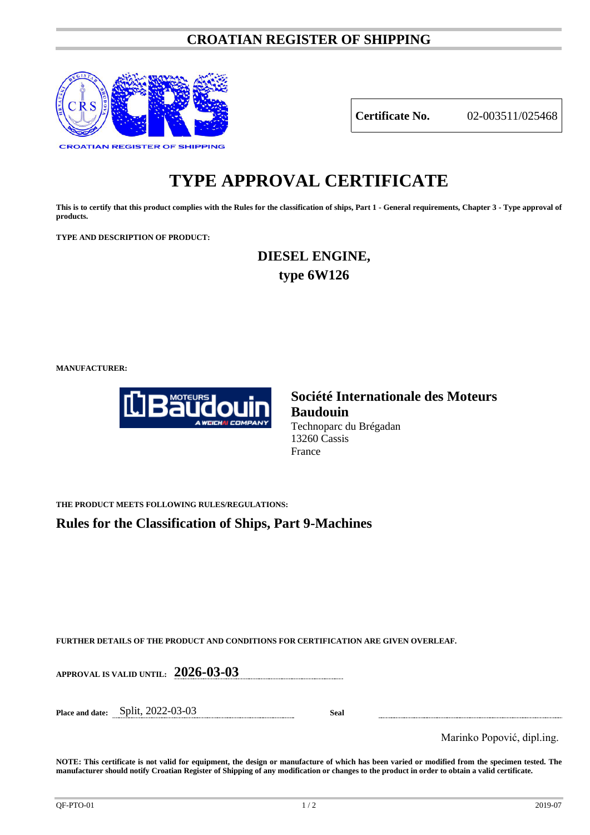# **CROATIAN REGISTER OF SHIPPING**



## **Certificate No.** 02-003511/025468

# **TYPE APPROVAL CERTIFICATE**

**This is to certify that this product complies with the Rules for the classification of ships, Part 1 - General requirements, Chapter 3 - Type approval of products.**

**TYPE AND DESCRIPTION OF PRODUCT:** 

**DIESEL ENGINE, type 6W126**

**MANUFACTURER:**



## **Société Internationale des Moteurs Baudouin** Technoparc du Brégadan 13260 Cassis France

**THE PRODUCT MEETS FOLLOWING RULES/REGULATIONS:**

**Rules for the Classification of Ships, Part 9-Machines**

**FURTHER DETAILS OF THE PRODUCT AND CONDITIONS FOR CERTIFICATION ARE GIVEN OVERLEAF.**

**APPROVAL IS VALID UNTIL: 2026-03-03**

**Place and date:** Split, 2022-03-03 **Seal**

Marinko Popović, dipl.ing.

**NOTE: This certificate is not valid for equipment, the design or manufacture of which has been varied or modified from the specimen tested. The manufacturer should notify Croatian Register of Shipping of any modification or changes to the product in order to obtain a valid certificate.**